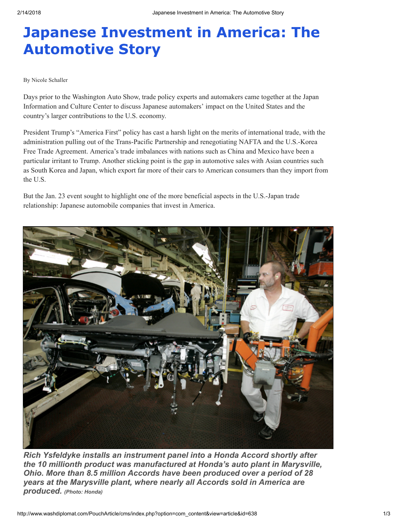## Japanese Investment in America: The Automotive Story

## By Nicole Schaller

Days prior to the Washington Auto Show, trade policy experts and automakers came together at the Japan Information and Culture Center to discuss Japanese automakers' impact on the United States and the country's larger contributions to the U.S. economy.

President Trump's "America First" policy has cast a harsh light on the merits of international trade, with the administration pulling out of the Trans-Pacific Partnership and renegotiating NAFTA and the U.S.-Korea Free Trade Agreement. America's trade imbalances with nations such as China and Mexico have been a particular irritant to Trump. Another sticking point is the gap in automotive sales with Asian countries such as South Korea and Japan, which export far more of their cars to American consumers than they import from the U.S.

But the Jan. 23 event sought to highlight one of the more beneficial aspects in the U.S.-Japan trade relationship: Japanese automobile companies that invest in America.



Rich Ysfeldyke installs an instrument panel into a Honda Accord shortly after the 10 millionth product was manufactured at Honda's auto plant in Marysville, Ohio. More than 8.5 million Accords have been produced over a period of 28 years at the Marysville plant, where nearly all Accords sold in America are produced. (Photo: Honda)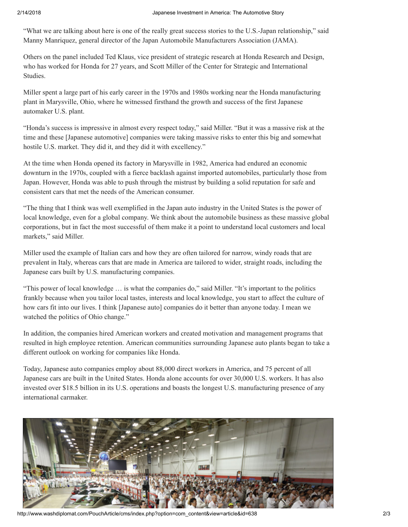"What we are talking about here is one of the really great success stories to the U.S.-Japan relationship," said Manny Manriquez, general director of the Japan Automobile Manufacturers Association (JAMA).

Others on the panel included Ted Klaus, vice president of strategic research at Honda Research and Design, who has worked for Honda for 27 years, and Scott Miller of the Center for Strategic and International Studies.

Miller spent a large part of his early career in the 1970s and 1980s working near the Honda manufacturing plant in Marysville, Ohio, where he witnessed firsthand the growth and success of the first Japanese automaker U.S. plant.

"Honda's success is impressive in almost every respect today," said Miller. "But it was a massive risk at the time and these [Japanese automotive] companies were taking massive risks to enter this big and somewhat hostile U.S. market. They did it, and they did it with excellency."

At the time when Honda opened its factory in Marysville in 1982, America had endured an economic downturn in the 1970s, coupled with a fierce backlash against imported automobiles, particularly those from Japan. However, Honda was able to push through the mistrust by building a solid reputation for safe and consistent cars that met the needs of the American consumer.

"The thing that I think was well exemplified in the Japan auto industry in the United States is the power of local knowledge, even for a global company. We think about the automobile business as these massive global corporations, but in fact the most successful of them make it a point to understand local customers and local markets," said Miller.

Miller used the example of Italian cars and how they are often tailored for narrow, windy roads that are prevalent in Italy, whereas cars that are made in America are tailored to wider, straight roads, including the Japanese cars built by U.S. manufacturing companies.

"This power of local knowledge … is what the companies do," said Miller. "It's important to the politics frankly because when you tailor local tastes, interests and local knowledge, you start to affect the culture of how cars fit into our lives. I think [Japanese auto] companies do it better than anyone today. I mean we watched the politics of Ohio change."

In addition, the companies hired American workers and created motivation and management programs that resulted in high employee retention. American communities surrounding Japanese auto plants began to take a different outlook on working for companies like Honda.

Today, Japanese auto companies employ about 88,000 direct workers in America, and 75 percent of all Japanese cars are built in the United States. Honda alone accounts for over 30,000 U.S. workers. It has also invested over \$18.5 billion in its U.S. operations and boasts the longest U.S. manufacturing presence of any international carmaker.



http://www.washdiplomat.com/PouchArticle/cms/index.php?option=com\_content&view=article&id=638 2/3